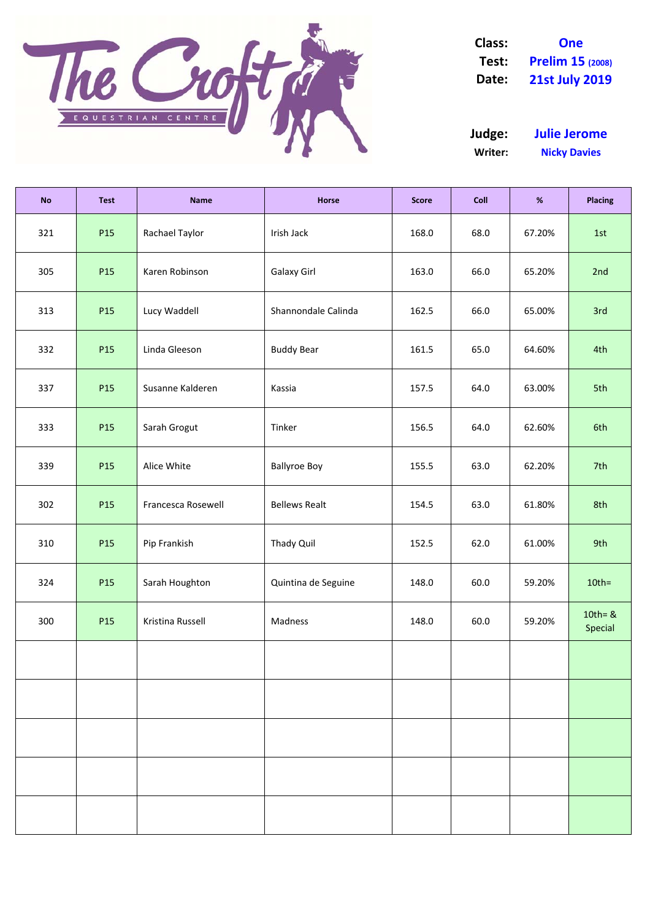

**Class: One Test: Prelim 15 (2008) Date: 21st July 2019**

**Writer: Nicky Davies Judge: Julie Jerome**

| <b>No</b> | <b>Test</b> | <b>Name</b>        | Horse                | <b>Score</b> | Coll | $\%$   | <b>Placing</b>        |
|-----------|-------------|--------------------|----------------------|--------------|------|--------|-----------------------|
| 321       | P15         | Rachael Taylor     | Irish Jack           | 168.0        | 68.0 | 67.20% | 1st                   |
| 305       | P15         | Karen Robinson     | Galaxy Girl          | 163.0        | 66.0 | 65.20% | 2nd                   |
| 313       | P15         | Lucy Waddell       | Shannondale Calinda  | 162.5        | 66.0 | 65.00% | 3rd                   |
| 332       | P15         | Linda Gleeson      | <b>Buddy Bear</b>    | 161.5        | 65.0 | 64.60% | 4th                   |
| 337       | P15         | Susanne Kalderen   | Kassia               | 157.5        | 64.0 | 63.00% | 5th                   |
| 333       | P15         | Sarah Grogut       | Tinker               | 156.5        | 64.0 | 62.60% | 6th                   |
| 339       | P15         | Alice White        | <b>Ballyroe Boy</b>  | 155.5        | 63.0 | 62.20% | 7th                   |
| 302       | P15         | Francesca Rosewell | <b>Bellews Realt</b> | 154.5        | 63.0 | 61.80% | 8th                   |
| 310       | P15         | Pip Frankish       | Thady Quil           | 152.5        | 62.0 | 61.00% | 9th                   |
| 324       | P15         | Sarah Houghton     | Quintina de Seguine  | 148.0        | 60.0 | 59.20% | $10th =$              |
| 300       | P15         | Kristina Russell   | Madness              | 148.0        | 60.0 | 59.20% | $10th = 8$<br>Special |
|           |             |                    |                      |              |      |        |                       |
|           |             |                    |                      |              |      |        |                       |
|           |             |                    |                      |              |      |        |                       |
|           |             |                    |                      |              |      |        |                       |
|           |             |                    |                      |              |      |        |                       |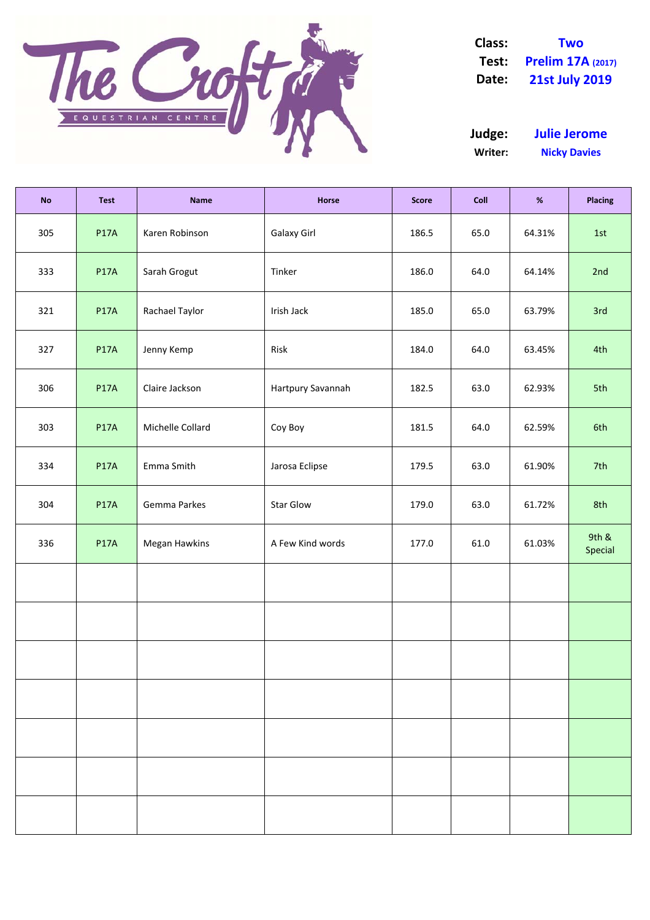

**Class: Two Test: Prelim 17A (2017) Date: 21st July 2019**

**Writer: Nicky Davies Judge: Julie Jerome**

| <b>No</b> | <b>Test</b> | <b>Name</b>      | Horse             | <b>Score</b> | Coll | $\%$   | <b>Placing</b>   |
|-----------|-------------|------------------|-------------------|--------------|------|--------|------------------|
| 305       | <b>P17A</b> | Karen Robinson   | Galaxy Girl       | 186.5        | 65.0 | 64.31% | 1st              |
| 333       | <b>P17A</b> | Sarah Grogut     | Tinker            | 186.0        | 64.0 | 64.14% | 2nd              |
| 321       | <b>P17A</b> | Rachael Taylor   | Irish Jack        | 185.0        | 65.0 | 63.79% | 3rd              |
| 327       | <b>P17A</b> | Jenny Kemp       | Risk              | 184.0        | 64.0 | 63.45% | 4th              |
| 306       | <b>P17A</b> | Claire Jackson   | Hartpury Savannah | 182.5        | 63.0 | 62.93% | 5th              |
| 303       | <b>P17A</b> | Michelle Collard | Coy Boy           | 181.5        | 64.0 | 62.59% | 6th              |
| 334       | <b>P17A</b> | Emma Smith       | Jarosa Eclipse    | 179.5        | 63.0 | 61.90% | 7th              |
| 304       | <b>P17A</b> | Gemma Parkes     | Star Glow         | 179.0        | 63.0 | 61.72% | 8th              |
| 336       | <b>P17A</b> | Megan Hawkins    | A Few Kind words  | 177.0        | 61.0 | 61.03% | 9th &<br>Special |
|           |             |                  |                   |              |      |        |                  |
|           |             |                  |                   |              |      |        |                  |
|           |             |                  |                   |              |      |        |                  |
|           |             |                  |                   |              |      |        |                  |
|           |             |                  |                   |              |      |        |                  |
|           |             |                  |                   |              |      |        |                  |
|           |             |                  |                   |              |      |        |                  |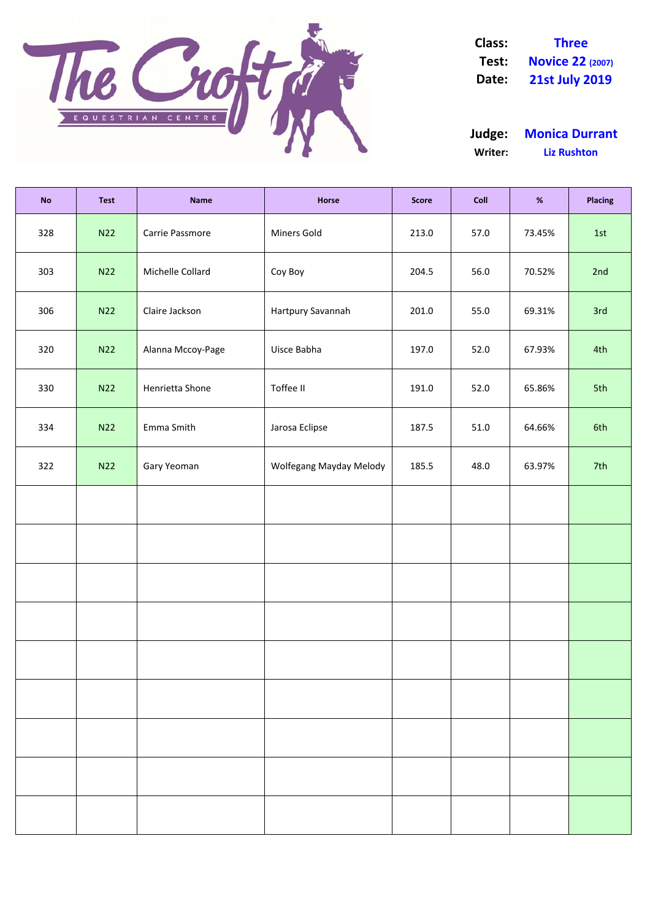

**Class: Three Test: Novice 22 (2007) Date: 21st July 2019**

**Writer: Liz Rushton Judge: Monica Durrant**

| <b>No</b> | <b>Test</b> | <b>Name</b>       | Horse                   | <b>Score</b> | Coll | $\%$   | <b>Placing</b> |
|-----------|-------------|-------------------|-------------------------|--------------|------|--------|----------------|
| 328       | N22         | Carrie Passmore   | Miners Gold             | 213.0        | 57.0 | 73.45% | 1st            |
| 303       | N22         | Michelle Collard  | Coy Boy                 | 204.5        | 56.0 | 70.52% | 2nd            |
| 306       | N22         | Claire Jackson    | Hartpury Savannah       | 201.0        | 55.0 | 69.31% | 3rd            |
| 320       | N22         | Alanna Mccoy-Page | Uisce Babha             | 197.0        | 52.0 | 67.93% | 4th            |
| 330       | N22         | Henrietta Shone   | Toffee II               | 191.0        | 52.0 | 65.86% | 5th            |
| 334       | N22         | Emma Smith        | Jarosa Eclipse          | 187.5        | 51.0 | 64.66% | 6th            |
| 322       | N22         | Gary Yeoman       | Wolfegang Mayday Melody | 185.5        | 48.0 | 63.97% | 7th            |
|           |             |                   |                         |              |      |        |                |
|           |             |                   |                         |              |      |        |                |
|           |             |                   |                         |              |      |        |                |
|           |             |                   |                         |              |      |        |                |
|           |             |                   |                         |              |      |        |                |
|           |             |                   |                         |              |      |        |                |
|           |             |                   |                         |              |      |        |                |
|           |             |                   |                         |              |      |        |                |
|           |             |                   |                         |              |      |        |                |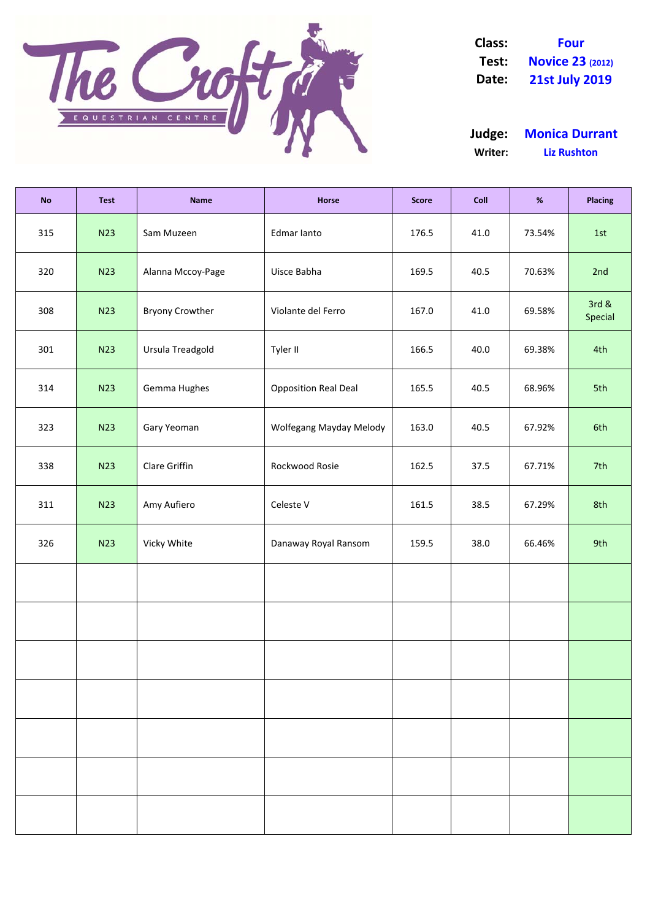

**Class: Four Test: Novice 23 (2012) Date: 21st July 2019**

**Writer: Liz Rushton Judge: Monica Durrant**

| <b>No</b> | <b>Test</b> | <b>Name</b>            | Horse                       | <b>Score</b> | Coll | $\%$   | <b>Placing</b>   |
|-----------|-------------|------------------------|-----------------------------|--------------|------|--------|------------------|
| 315       | <b>N23</b>  | Sam Muzeen             | Edmar lanto                 | 176.5        | 41.0 | 73.54% | 1st              |
| 320       | <b>N23</b>  | Alanna Mccoy-Page      | Uisce Babha                 | 169.5        | 40.5 | 70.63% | 2nd              |
| 308       | <b>N23</b>  | <b>Bryony Crowther</b> | Violante del Ferro          | 167.0        | 41.0 | 69.58% | 3rd &<br>Special |
| 301       | <b>N23</b>  | Ursula Treadgold       | Tyler II                    | 166.5        | 40.0 | 69.38% | 4th              |
| 314       | <b>N23</b>  | Gemma Hughes           | <b>Opposition Real Deal</b> | 165.5        | 40.5 | 68.96% | 5th              |
| 323       | <b>N23</b>  | Gary Yeoman            | Wolfegang Mayday Melody     | 163.0        | 40.5 | 67.92% | 6th              |
| 338       | <b>N23</b>  | Clare Griffin          | Rockwood Rosie              | 162.5        | 37.5 | 67.71% | 7th              |
| 311       | <b>N23</b>  | Amy Aufiero            | Celeste V                   | 161.5        | 38.5 | 67.29% | 8th              |
| 326       | <b>N23</b>  | Vicky White            | Danaway Royal Ransom        | 159.5        | 38.0 | 66.46% | 9th              |
|           |             |                        |                             |              |      |        |                  |
|           |             |                        |                             |              |      |        |                  |
|           |             |                        |                             |              |      |        |                  |
|           |             |                        |                             |              |      |        |                  |
|           |             |                        |                             |              |      |        |                  |
|           |             |                        |                             |              |      |        |                  |
|           |             |                        |                             |              |      |        |                  |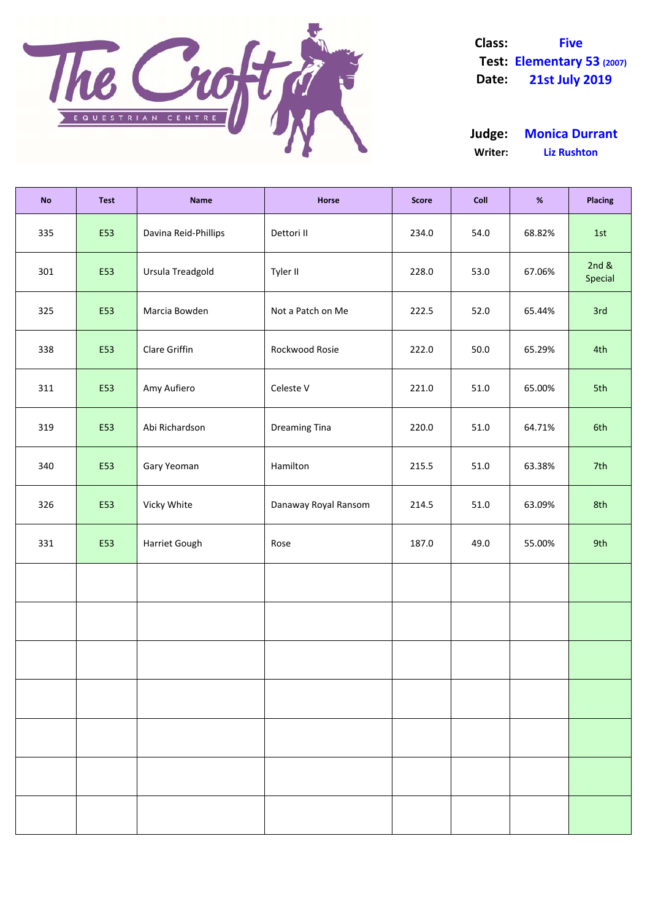

**Class: Five Test: Elementary 53 (2007) Date: 21st July 2019**

**Writer: Liz Rushton Judge: Monica Durrant**

| <b>No</b> | <b>Test</b> | <b>Name</b>          | Horse                | <b>Score</b> | Coll | $\%$   | <b>Placing</b>      |
|-----------|-------------|----------------------|----------------------|--------------|------|--------|---------------------|
| 335       | E53         | Davina Reid-Phillips | Dettori II           | 234.0        | 54.0 | 68.82% | 1st                 |
| 301       | E53         | Ursula Treadgold     | Tyler II             | 228.0        | 53.0 | 67.06% | 2 $nd &$<br>Special |
| 325       | E53         | Marcia Bowden        | Not a Patch on Me    | 222.5        | 52.0 | 65.44% | 3rd                 |
| 338       | E53         | Clare Griffin        | Rockwood Rosie       | 222.0        | 50.0 | 65.29% | 4th                 |
| 311       | E53         | Amy Aufiero          | Celeste V            | 221.0        | 51.0 | 65.00% | 5th                 |
| 319       | E53         | Abi Richardson       | <b>Dreaming Tina</b> | 220.0        | 51.0 | 64.71% | 6th                 |
| 340       | E53         | Gary Yeoman          | Hamilton             | 215.5        | 51.0 | 63.38% | 7th                 |
| 326       | E53         | Vicky White          | Danaway Royal Ransom | 214.5        | 51.0 | 63.09% | 8th                 |
| 331       | E53         | Harriet Gough        | Rose                 | 187.0        | 49.0 | 55.00% | 9th                 |
|           |             |                      |                      |              |      |        |                     |
|           |             |                      |                      |              |      |        |                     |
|           |             |                      |                      |              |      |        |                     |
|           |             |                      |                      |              |      |        |                     |
|           |             |                      |                      |              |      |        |                     |
|           |             |                      |                      |              |      |        |                     |
|           |             |                      |                      |              |      |        |                     |